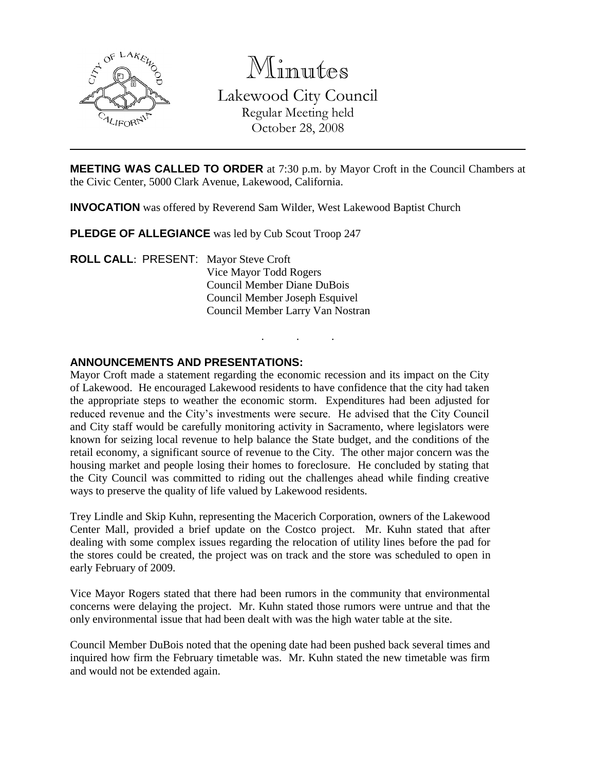

Minutes Lakewood City Council Regular Meeting held October 28, 2008

**MEETING WAS CALLED TO ORDER** at 7:30 p.m. by Mayor Croft in the Council Chambers at the Civic Center, 5000 Clark Avenue, Lakewood, California.

. . .

**INVOCATION** was offered by Reverend Sam Wilder, West Lakewood Baptist Church

**PLEDGE OF ALLEGIANCE** was led by Cub Scout Troop 247

**ROLL CALL**: PRESENT: Mayor Steve Croft Vice Mayor Todd Rogers Council Member Diane DuBois Council Member Joseph Esquivel Council Member Larry Van Nostran

## **ANNOUNCEMENTS AND PRESENTATIONS:**

Mayor Croft made a statement regarding the economic recession and its impact on the City of Lakewood. He encouraged Lakewood residents to have confidence that the city had taken the appropriate steps to weather the economic storm. Expenditures had been adjusted for reduced revenue and the City's investments were secure. He advised that the City Council and City staff would be carefully monitoring activity in Sacramento, where legislators were known for seizing local revenue to help balance the State budget, and the conditions of the retail economy, a significant source of revenue to the City. The other major concern was the housing market and people losing their homes to foreclosure. He concluded by stating that the City Council was committed to riding out the challenges ahead while finding creative ways to preserve the quality of life valued by Lakewood residents.

Trey Lindle and Skip Kuhn, representing the Macerich Corporation, owners of the Lakewood Center Mall, provided a brief update on the Costco project. Mr. Kuhn stated that after dealing with some complex issues regarding the relocation of utility lines before the pad for the stores could be created, the project was on track and the store was scheduled to open in early February of 2009.

Vice Mayor Rogers stated that there had been rumors in the community that environmental concerns were delaying the project. Mr. Kuhn stated those rumors were untrue and that the only environmental issue that had been dealt with was the high water table at the site.

Council Member DuBois noted that the opening date had been pushed back several times and inquired how firm the February timetable was. Mr. Kuhn stated the new timetable was firm and would not be extended again.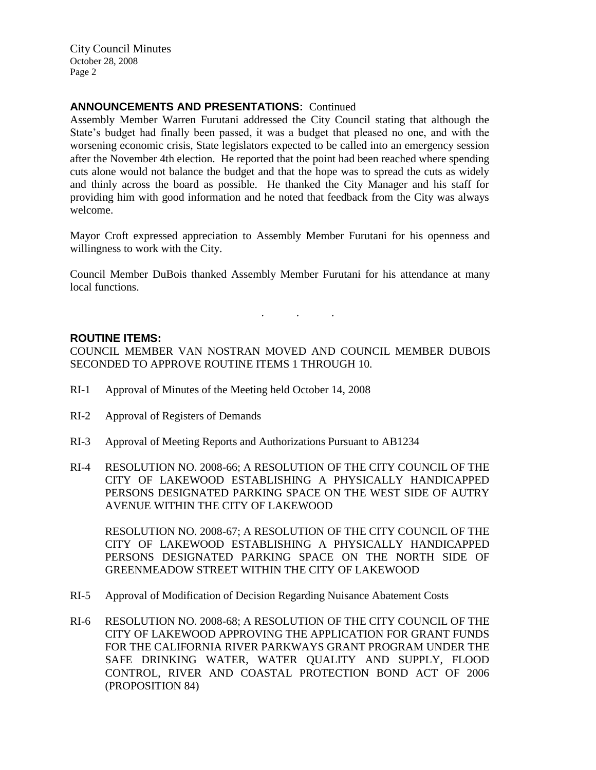## **ANNOUNCEMENTS AND PRESENTATIONS:** Continued

Assembly Member Warren Furutani addressed the City Council stating that although the State's budget had finally been passed, it was a budget that pleased no one, and with the worsening economic crisis, State legislators expected to be called into an emergency session after the November 4th election. He reported that the point had been reached where spending cuts alone would not balance the budget and that the hope was to spread the cuts as widely and thinly across the board as possible. He thanked the City Manager and his staff for providing him with good information and he noted that feedback from the City was always welcome.

Mayor Croft expressed appreciation to Assembly Member Furutani for his openness and willingness to work with the City.

Council Member DuBois thanked Assembly Member Furutani for his attendance at many local functions.

. . .

### **ROUTINE ITEMS:**

COUNCIL MEMBER VAN NOSTRAN MOVED AND COUNCIL MEMBER DUBOIS SECONDED TO APPROVE ROUTINE ITEMS 1 THROUGH 10.

- RI-1 Approval of Minutes of the Meeting held October 14, 2008
- RI-2 Approval of Registers of Demands
- RI-3 Approval of Meeting Reports and Authorizations Pursuant to AB1234
- RI-4 RESOLUTION NO. 2008-66; A RESOLUTION OF THE CITY COUNCIL OF THE CITY OF LAKEWOOD ESTABLISHING A PHYSICALLY HANDICAPPED PERSONS DESIGNATED PARKING SPACE ON THE WEST SIDE OF AUTRY AVENUE WITHIN THE CITY OF LAKEWOOD

RESOLUTION NO. 2008-67; A RESOLUTION OF THE CITY COUNCIL OF THE CITY OF LAKEWOOD ESTABLISHING A PHYSICALLY HANDICAPPED PERSONS DESIGNATED PARKING SPACE ON THE NORTH SIDE OF GREENMEADOW STREET WITHIN THE CITY OF LAKEWOOD

- RI-5 Approval of Modification of Decision Regarding Nuisance Abatement Costs
- RI-6 RESOLUTION NO. 2008-68; A RESOLUTION OF THE CITY COUNCIL OF THE CITY OF LAKEWOOD APPROVING THE APPLICATION FOR GRANT FUNDS FOR THE CALIFORNIA RIVER PARKWAYS GRANT PROGRAM UNDER THE SAFE DRINKING WATER, WATER QUALITY AND SUPPLY, FLOOD CONTROL, RIVER AND COASTAL PROTECTION BOND ACT OF 2006 (PROPOSITION 84)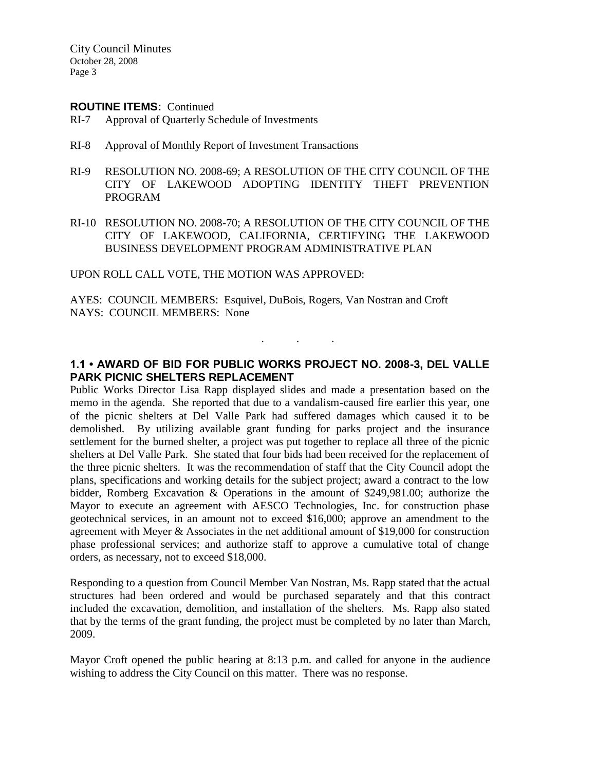#### **ROUTINE ITEMS:** Continued

- RI-7 Approval of Quarterly Schedule of Investments
- RI-8 Approval of Monthly Report of Investment Transactions
- RI-9 RESOLUTION NO. 2008-69; A RESOLUTION OF THE CITY COUNCIL OF THE CITY OF LAKEWOOD ADOPTING IDENTITY THEFT PREVENTION PROGRAM
- RI-10 RESOLUTION NO. 2008-70; A RESOLUTION OF THE CITY COUNCIL OF THE CITY OF LAKEWOOD, CALIFORNIA, CERTIFYING THE LAKEWOOD BUSINESS DEVELOPMENT PROGRAM ADMINISTRATIVE PLAN

UPON ROLL CALL VOTE, THE MOTION WAS APPROVED:

AYES: COUNCIL MEMBERS: Esquivel, DuBois, Rogers, Van Nostran and Croft NAYS: COUNCIL MEMBERS: None

## **1.1 • AWARD OF BID FOR PUBLIC WORKS PROJECT NO. 2008-3, DEL VALLE PARK PICNIC SHELTERS REPLACEMENT**

. . .

Public Works Director Lisa Rapp displayed slides and made a presentation based on the memo in the agenda. She reported that due to a vandalism-caused fire earlier this year, one of the picnic shelters at Del Valle Park had suffered damages which caused it to be demolished. By utilizing available grant funding for parks project and the insurance settlement for the burned shelter, a project was put together to replace all three of the picnic shelters at Del Valle Park. She stated that four bids had been received for the replacement of the three picnic shelters. It was the recommendation of staff that the City Council adopt the plans, specifications and working details for the subject project; award a contract to the low bidder, Romberg Excavation & Operations in the amount of \$249,981.00; authorize the Mayor to execute an agreement with AESCO Technologies, Inc. for construction phase geotechnical services, in an amount not to exceed \$16,000; approve an amendment to the agreement with Meyer & Associates in the net additional amount of \$19,000 for construction phase professional services; and authorize staff to approve a cumulative total of change orders, as necessary, not to exceed \$18,000.

Responding to a question from Council Member Van Nostran, Ms. Rapp stated that the actual structures had been ordered and would be purchased separately and that this contract included the excavation, demolition, and installation of the shelters. Ms. Rapp also stated that by the terms of the grant funding, the project must be completed by no later than March, 2009.

Mayor Croft opened the public hearing at 8:13 p.m. and called for anyone in the audience wishing to address the City Council on this matter. There was no response.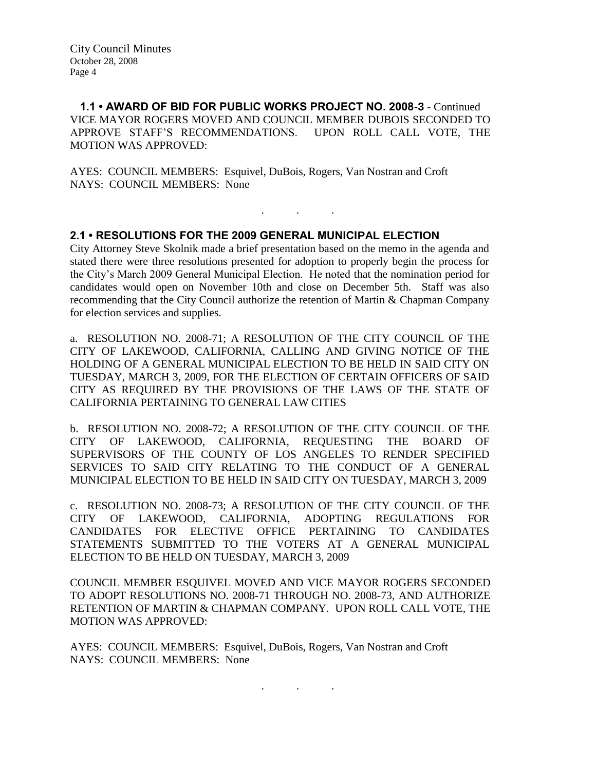**1.1 • AWARD OF BID FOR PUBLIC WORKS PROJECT NO. 2008-3** - Continued VICE MAYOR ROGERS MOVED AND COUNCIL MEMBER DUBOIS SECONDED TO APPROVE STAFF'S RECOMMENDATIONS. UPON ROLL CALL VOTE, THE MOTION WAS APPROVED:

AYES: COUNCIL MEMBERS: Esquivel, DuBois, Rogers, Van Nostran and Croft NAYS: COUNCIL MEMBERS: None

## **2.1 • RESOLUTIONS FOR THE 2009 GENERAL MUNICIPAL ELECTION**

City Attorney Steve Skolnik made a brief presentation based on the memo in the agenda and stated there were three resolutions presented for adoption to properly begin the process for the City's March 2009 General Municipal Election. He noted that the nomination period for candidates would open on November 10th and close on December 5th. Staff was also recommending that the City Council authorize the retention of Martin & Chapman Company for election services and supplies.

. . .

a. RESOLUTION NO. 2008-71; A RESOLUTION OF THE CITY COUNCIL OF THE CITY OF LAKEWOOD, CALIFORNIA, CALLING AND GIVING NOTICE OF THE HOLDING OF A GENERAL MUNICIPAL ELECTION TO BE HELD IN SAID CITY ON TUESDAY, MARCH 3, 2009, FOR THE ELECTION OF CERTAIN OFFICERS OF SAID CITY AS REQUIRED BY THE PROVISIONS OF THE LAWS OF THE STATE OF CALIFORNIA PERTAINING TO GENERAL LAW CITIES

b. RESOLUTION NO. 2008-72; A RESOLUTION OF THE CITY COUNCIL OF THE CITY OF LAKEWOOD, CALIFORNIA, REQUESTING THE BOARD OF SUPERVISORS OF THE COUNTY OF LOS ANGELES TO RENDER SPECIFIED SERVICES TO SAID CITY RELATING TO THE CONDUCT OF A GENERAL MUNICIPAL ELECTION TO BE HELD IN SAID CITY ON TUESDAY, MARCH 3, 2009

c. RESOLUTION NO. 2008-73; A RESOLUTION OF THE CITY COUNCIL OF THE CITY OF LAKEWOOD, CALIFORNIA, ADOPTING REGULATIONS FOR CANDIDATES FOR ELECTIVE OFFICE PERTAINING TO CANDIDATES STATEMENTS SUBMITTED TO THE VOTERS AT A GENERAL MUNICIPAL ELECTION TO BE HELD ON TUESDAY, MARCH 3, 2009

COUNCIL MEMBER ESQUIVEL MOVED AND VICE MAYOR ROGERS SECONDED TO ADOPT RESOLUTIONS NO. 2008-71 THROUGH NO. 2008-73, AND AUTHORIZE RETENTION OF MARTIN & CHAPMAN COMPANY. UPON ROLL CALL VOTE, THE MOTION WAS APPROVED:

. . .

AYES: COUNCIL MEMBERS: Esquivel, DuBois, Rogers, Van Nostran and Croft NAYS: COUNCIL MEMBERS: None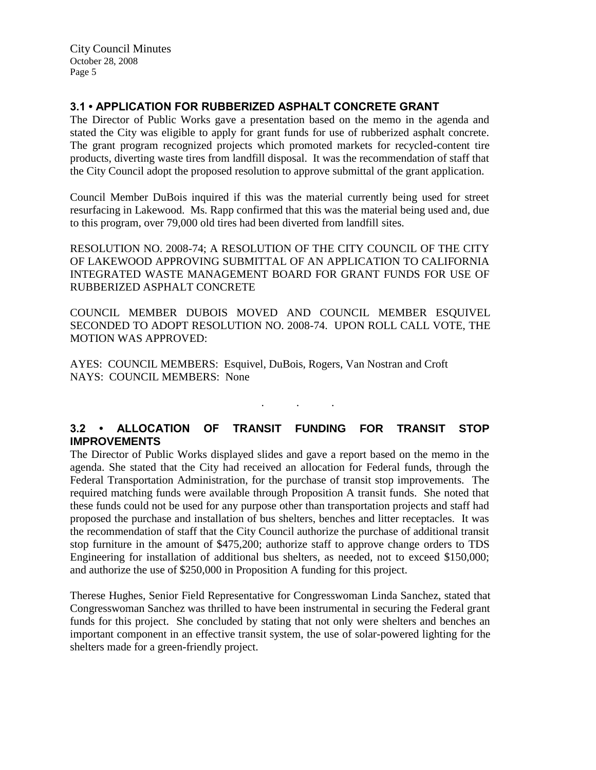## **3.1 • APPLICATION FOR RUBBERIZED ASPHALT CONCRETE GRANT**

The Director of Public Works gave a presentation based on the memo in the agenda and stated the City was eligible to apply for grant funds for use of rubberized asphalt concrete. The grant program recognized projects which promoted markets for recycled-content tire products, diverting waste tires from landfill disposal. It was the recommendation of staff that the City Council adopt the proposed resolution to approve submittal of the grant application.

Council Member DuBois inquired if this was the material currently being used for street resurfacing in Lakewood. Ms. Rapp confirmed that this was the material being used and, due to this program, over 79,000 old tires had been diverted from landfill sites.

RESOLUTION NO. 2008-74; A RESOLUTION OF THE CITY COUNCIL OF THE CITY OF LAKEWOOD APPROVING SUBMITTAL OF AN APPLICATION TO CALIFORNIA INTEGRATED WASTE MANAGEMENT BOARD FOR GRANT FUNDS FOR USE OF RUBBERIZED ASPHALT CONCRETE

COUNCIL MEMBER DUBOIS MOVED AND COUNCIL MEMBER ESQUIVEL SECONDED TO ADOPT RESOLUTION NO. 2008-74. UPON ROLL CALL VOTE, THE MOTION WAS APPROVED:

AYES: COUNCIL MEMBERS: Esquivel, DuBois, Rogers, Van Nostran and Croft NAYS: COUNCIL MEMBERS: None

# **3.2 • ALLOCATION OF TRANSIT FUNDING FOR TRANSIT STOP IMPROVEMENTS**

. . .

The Director of Public Works displayed slides and gave a report based on the memo in the agenda. She stated that the City had received an allocation for Federal funds, through the Federal Transportation Administration, for the purchase of transit stop improvements. The required matching funds were available through Proposition A transit funds. She noted that these funds could not be used for any purpose other than transportation projects and staff had proposed the purchase and installation of bus shelters, benches and litter receptacles. It was the recommendation of staff that the City Council authorize the purchase of additional transit stop furniture in the amount of \$475,200; authorize staff to approve change orders to TDS Engineering for installation of additional bus shelters, as needed, not to exceed \$150,000; and authorize the use of \$250,000 in Proposition A funding for this project.

Therese Hughes, Senior Field Representative for Congresswoman Linda Sanchez, stated that Congresswoman Sanchez was thrilled to have been instrumental in securing the Federal grant funds for this project. She concluded by stating that not only were shelters and benches an important component in an effective transit system, the use of solar-powered lighting for the shelters made for a green-friendly project.